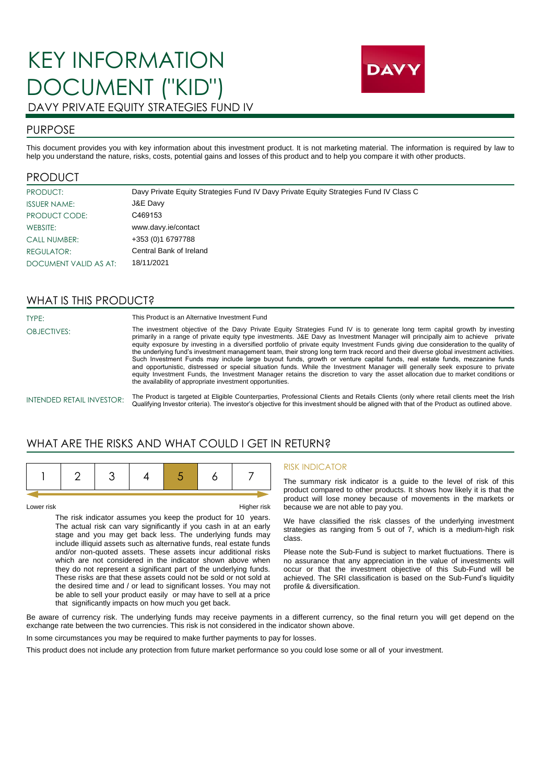# KEY INFORMATION DOCUMENT ("KID") DAVY PRIVATE EQUITY STRATEGIES FUND IV



### PURPOSE

This document provides you with key information about this investment product. It is not marketing material. The information is required by law to help you understand the nature, risks, costs, potential gains and losses of this product and to help you compare it with other products.

### PRODUCT

| PRODUCT:              | Davy Private Equity Strategies Fund IV Davy Private Equity Strategies Fund IV Class C |
|-----------------------|---------------------------------------------------------------------------------------|
| <b>ISSUER NAME:</b>   | J&E Davy                                                                              |
| PRODUCT CODE:         | C469153                                                                               |
| WEBSITE:              | www.davy.ie/contact                                                                   |
| <b>CALL NUMBER:</b>   | +353 (0)1 6797788                                                                     |
| REGULATOR:            | Central Bank of Ireland                                                               |
| DOCUMENT VALID AS AT: | 18/11/2021                                                                            |

### WHAT IS THIS PRODUCT?

TYPE: OBJECTIVES: This Product is an Alternative Investment Fund

The investment objective of the Davy Private Equity Strategies Fund IV is to generate long term capital growth by investing primarily in a range of private equity type investments. J&E Davy as Investment Manager will principally aim to achieve private equity exposure by investing in a diversified portfolio of private equity Investment Funds giving due consideration to the quality of the underlying fund's investment management team, their strong long term track record and their diverse global investment activities. Such Investment Funds may include large buyout funds, growth or venture capital funds, real estate funds, mezzanine funds<br>and opportunistic, distressed or special situation funds. While the Investment Manager will generall equity Investment Funds, the Investment Manager retains the discretion to vary the asset allocation due to market conditions or the availability of appropriate investment opportunities.

#### INTENDED RETAIL INVESTOR:

The Product is targeted at Eligible Counterparties, Professional Clients and Retails Clients (only where retail clients meet the Irish Qualifying Investor criteria). The investor's objective for this investment should be aligned with that of the Product as outlined above.

### WHAT ARE THE RISKS AND WHAT COULD LGET IN RETURN?

Lower risk Higher risk

The risk indicator assumes you keep the product for 10 years. The actual risk can vary significantly if you cash in at an early stage and you may get back less. The underlying funds may include illiquid assets such as alternative funds, real estate funds and/or non-quoted assets. These assets incur additional risks which are not considered in the indicator shown above when they do not represent a significant part of the underlying funds. These risks are that these assets could not be sold or not sold at the desired time and / or lead to significant losses. You may not be able to sell your product easily or may have to sell at a price that significantly impacts on how much you get back.

#### RISK INDICATOR

The summary risk indicator is a guide to the level of risk of this product compared to other products. It shows how likely it is that the product will lose money because of movements in the markets or because we are not able to pay you.

We have classified the risk classes of the underlying investment strategies as ranging from 5 out of 7, which is a medium-high risk class.

Please note the Sub-Fund is subject to market fluctuations. There is no assurance that any appreciation in the value of investments will occur or that the investment objective of this Sub-Fund will be achieved. The SRI classification is based on the Sub-Fund's liquidity profile & diversification.

Be aware of currency risk. The underlying funds may receive payments in a different currency, so the final return you will get depend on the exchange rate between the two currencies. This risk is not considered in the indicator shown above.

In some circumstances you may be required to make further payments to pay for losses.

This product does not include any protection from future market performance so you could lose some or all of your investment.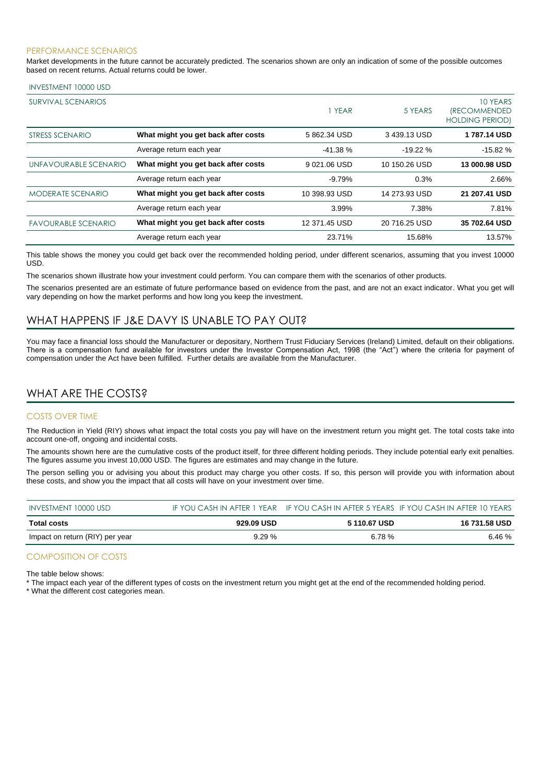#### PERFORMANCE SCENARIOS

Market developments in the future cannot be accurately predicted. The scenarios shown are only an indication of some of the possible outcomes based on recent returns. Actual returns could be lower.

#### INVESTMENT 10000 USD

| <b>SURVIVAL SCENARIOS</b>  |                                     | 1 YEAR        | 5 YEARS       | 10 YEARS<br><i><b>(RECOMMENDED</b></i><br><b>HOLDING PERIOD)</b> |
|----------------------------|-------------------------------------|---------------|---------------|------------------------------------------------------------------|
| STRESS SCENARIO            | What might you get back after costs | 5862.34 USD   | 3439.13 USD   | 1787.14 USD                                                      |
|                            | Average return each year            | $-41.38%$     | $-19.22%$     | $-15.82%$                                                        |
| UNFAVOURABLE SCENARIO      | What might you get back after costs | 9021.06 USD   | 10 150.26 USD | 13 000.98 USD                                                    |
|                            | Average return each year            | $-9.79%$      | 0.3%          | 2.66%                                                            |
| <b>MODERATE SCENARIO</b>   | What might you get back after costs | 10 398.93 USD | 14 273.93 USD | 21 207.41 USD                                                    |
|                            | Average return each year            | 3.99%         | 7.38%         | 7.81%                                                            |
| <b>FAVOURABLE SCENARIO</b> | What might you get back after costs | 12 371.45 USD | 20 716.25 USD | 35 702.64 USD                                                    |
|                            | Average return each year            | 23.71%        | 15.68%        | 13.57%                                                           |

This table shows the money you could get back over the recommended holding period, under different scenarios, assuming that you invest 10000 USD.

The scenarios shown illustrate how your investment could perform. You can compare them with the scenarios of other products.

The scenarios presented are an estimate of future performance based on evidence from the past, and are not an exact indicator. What you get will vary depending on how the market performs and how long you keep the investment.

### WHAT HAPPENS IF J&E DAVY IS UNABLE TO PAY OUT?

You may face a financial loss should the Manufacturer or depositary, Northern Trust Fiduciary Services (Ireland) Limited, default on their obligations. There is a compensation fund available for investors under the Investor Compensation Act, 1998 (the "Act") where the criteria for payment of compensation under the Act have been fulfilled. Further details are available from the Manufacturer.

### WHAT ARE THE COSTS?

#### COSTS OVER TIME

The Reduction in Yield (RIY) shows what impact the total costs you pay will have on the investment return you might get. The total costs take into account one-off, ongoing and incidental costs.

The amounts shown here are the cumulative costs of the product itself, for three different holding periods. They include potential early exit penalties. The figures assume you invest 10,000 USD. The figures are estimates and may change in the future.

The person selling you or advising you about this product may charge you other costs. If so, this person will provide you with information about these costs, and show you the impact that all costs will have on your investment over time.

| INVESTMENT 10000 USD            |            |              | IF YOU CASH IN AFTER 1 YEAR IF YOU CASH IN AFTER 5 YEARS IF YOU CASH IN AFTER 10 YEARS |
|---------------------------------|------------|--------------|----------------------------------------------------------------------------------------|
| Total costs                     | 929.09 USD | 5 110.67 USD | 16 731.58 USD                                                                          |
| Impact on return (RIY) per year | 9.29%      | 6.78%        | 6.46%                                                                                  |

#### COMPOSITION OF COSTS

The table below shows:

\* The impact each year of the different types of costs on the investment return you might get at the end of the recommended holding period.

\* What the different cost categories mean.